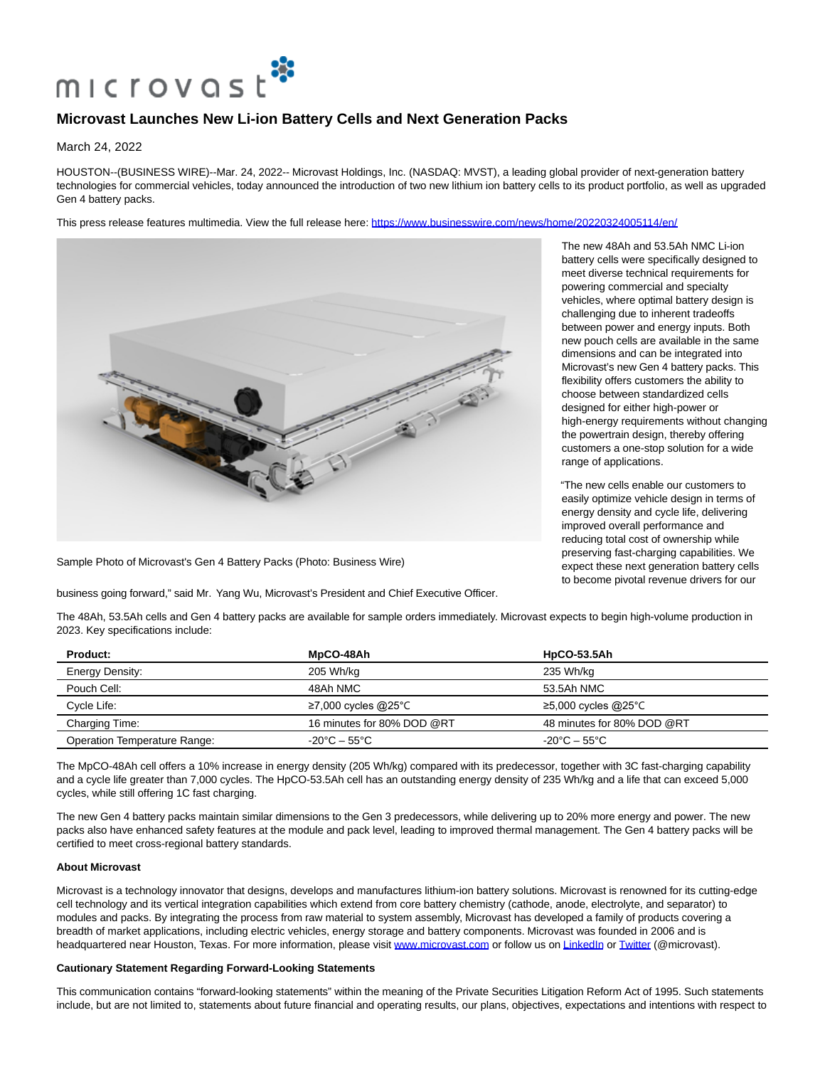

## **Microvast Launches New Li-ion Battery Cells and Next Generation Packs**

March 24, 2022

HOUSTON--(BUSINESS WIRE)--Mar. 24, 2022-- Microvast Holdings, Inc. (NASDAQ: MVST), a leading global provider of next-generation battery technologies for commercial vehicles, today announced the introduction of two new lithium ion battery cells to its product portfolio, as well as upgraded Gen 4 battery packs.

This press release features multimedia. View the full release here:<https://www.businesswire.com/news/home/20220324005114/en/>



Sample Photo of Microvast's Gen 4 Battery Packs (Photo: Business Wire)

business going forward," said Mr. Yang Wu, Microvast's President and Chief Executive Officer.

The new 48Ah and 53.5Ah NMC Li-ion battery cells were specifically designed to meet diverse technical requirements for powering commercial and specialty vehicles, where optimal battery design is challenging due to inherent tradeoffs between power and energy inputs. Both new pouch cells are available in the same dimensions and can be integrated into Microvast's new Gen 4 battery packs. This flexibility offers customers the ability to choose between standardized cells designed for either high-power or high-energy requirements without changing the powertrain design, thereby offering customers a one-stop solution for a wide range of applications.

"The new cells enable our customers to easily optimize vehicle design in terms of energy density and cycle life, delivering improved overall performance and reducing total cost of ownership while preserving fast-charging capabilities. We expect these next generation battery cells to become pivotal revenue drivers for our

The 48Ah, 53.5Ah cells and Gen 4 battery packs are available for sample orders immediately. Microvast expects to begin high-volume production in 2023. Key specifications include:

| <b>Product:</b>              | MpCO-48Ah                         | <b>HpCO-53.5Ah</b>                |
|------------------------------|-----------------------------------|-----------------------------------|
| Energy Density:              | 205 Wh/kg                         | 235 Wh/kg                         |
| Pouch Cell:                  | 48Ah NMC                          | 53.5Ah NMC                        |
| Cycle Life:                  | ≥7,000 cycles @25°C               | $≥5,000$ cycles @25°C             |
| Charging Time:               | 16 minutes for 80% DOD @RT        | 48 minutes for 80% DOD @RT        |
| Operation Temperature Range: | $-20^{\circ}$ C – 55 $^{\circ}$ C | $-20^{\circ}$ C – 55 $^{\circ}$ C |

The MpCO-48Ah cell offers a 10% increase in energy density (205 Wh/kg) compared with its predecessor, together with 3C fast-charging capability and a cycle life greater than 7,000 cycles. The HpCO-53.5Ah cell has an outstanding energy density of 235 Wh/kg and a life that can exceed 5,000 cycles, while still offering 1C fast charging.

The new Gen 4 battery packs maintain similar dimensions to the Gen 3 predecessors, while delivering up to 20% more energy and power. The new packs also have enhanced safety features at the module and pack level, leading to improved thermal management. The Gen 4 battery packs will be certified to meet cross-regional battery standards.

## **About Microvast**

Microvast is a technology innovator that designs, develops and manufactures lithium-ion battery solutions. Microvast is renowned for its cutting-edge cell technology and its vertical integration capabilities which extend from core battery chemistry (cathode, anode, electrolyte, and separator) to modules and packs. By integrating the process from raw material to system assembly, Microvast has developed a family of products covering a breadth of market applications, including electric vehicles, energy storage and battery components. Microvast was founded in 2006 and is headquartered near Houston, Texas. For more information, please visit [www.microvast.com o](https://cts.businesswire.com/ct/CT?id=smartlink&url=http%3A%2F%2Fwww.microvast.com&esheet=52619138&newsitemid=20220324005114&lan=en-US&anchor=www.microvast.com&index=1&md5=503b4f41771674d9c83cbed963f54b08)r follow us o[n LinkedIn o](https://cts.businesswire.com/ct/CT?id=smartlink&url=https%3A%2F%2Fwww.linkedin.com%2Fcompany%2Fmicrovast-inc-&esheet=52619138&newsitemid=20220324005114&lan=en-US&anchor=LinkedIn&index=2&md5=7e7a5b8e7f1005f917270c1684134ad7)r [Twitter \(](https://cts.businesswire.com/ct/CT?id=smartlink&url=https%3A%2F%2Ftwitter.com%2FMicrovast&esheet=52619138&newsitemid=20220324005114&lan=en-US&anchor=Twitter&index=3&md5=642d79fd406d555902e18bc29eb6414c)@microvast).

## **Cautionary Statement Regarding Forward-Looking Statements**

This communication contains "forward-looking statements" within the meaning of the Private Securities Litigation Reform Act of 1995. Such statements include, but are not limited to, statements about future financial and operating results, our plans, objectives, expectations and intentions with respect to